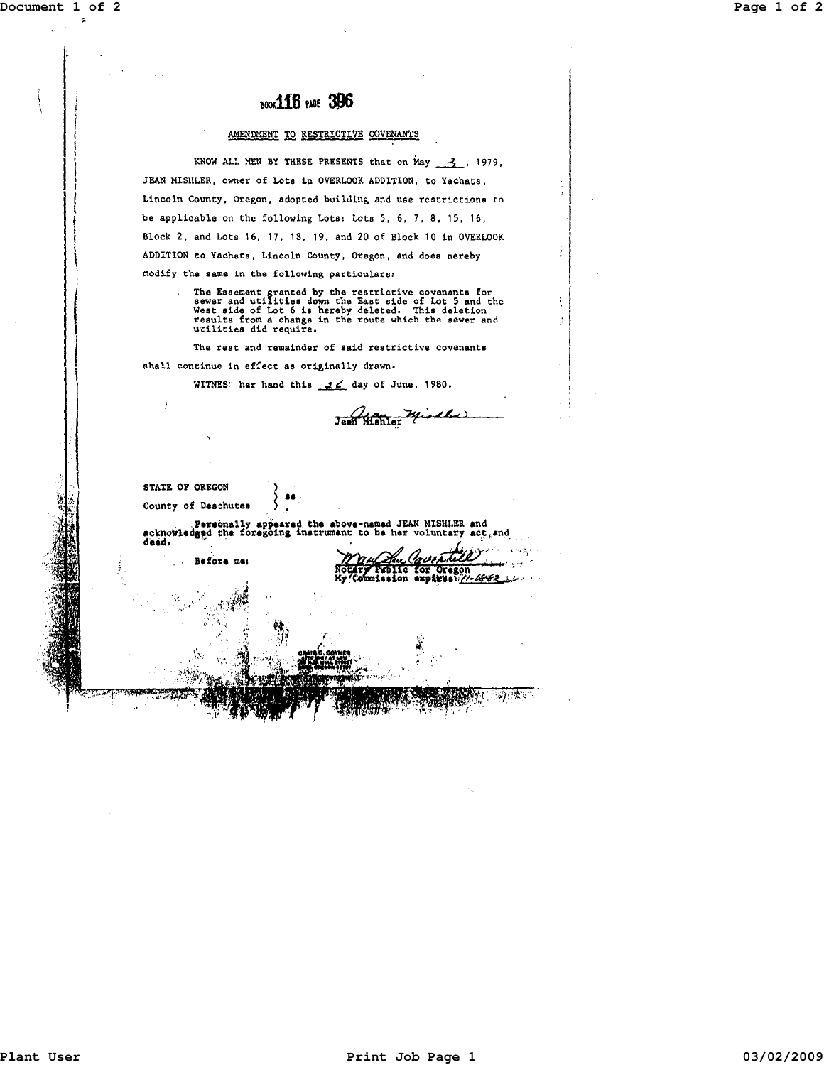## **Document 1 of 2 Page 1 of 2**

I

 $\mathbf i$ I  $\vert$  $\mathbf{I}$ ! !  $\vert$ 

# **book116** PARE 396

#### AMENDMENT TO RESTRICTIVE COVENANTS

KNOW ALL MEN BY THESE PRESENTS that on May  $\frac{3}{2}$ , 1979, JEAN MISHLER, owner of Lots in OVERLOOK ADDITION, to Yachats, Lincoln County, Oregon, adopted building and use restrictions to be applicable on the following Lots: Lots 5, 6, 7, 8, 15, 16, Block 2, and Lots 16, 17, 18, 19, and 20 of Block 10 in OVERLOOK ADDITION to Yachats, Lincoln County, Oregon, and does nereby modify the same in the following particulars:

The Easement granted by the restrictive covenants for<br>sewer and utilities down the East side of Lot 5 and the<br>West side of Lot 6 is hereby deleted. This deletion<br>results from a change in the route which the sewer and<br>utili

Jean Monter Mischel

The rest and remainder of said restrictive covenants

shall continue in effect as originally drawn.

 $\pmb{\iota}$ 

WITNES: her hand this  $\frac{3}{5}$  day of June, 1980.

STATE OF OREGON County of Deschutes Persons<br>| Persons<br>| deed. . Personally appeared the above-named JEAN MISHLER and acknowledged the foregoing instrument to be her voluntary act. Before me: **TRADIIC for Or**<br>mission expire Oregor .<br>1-6882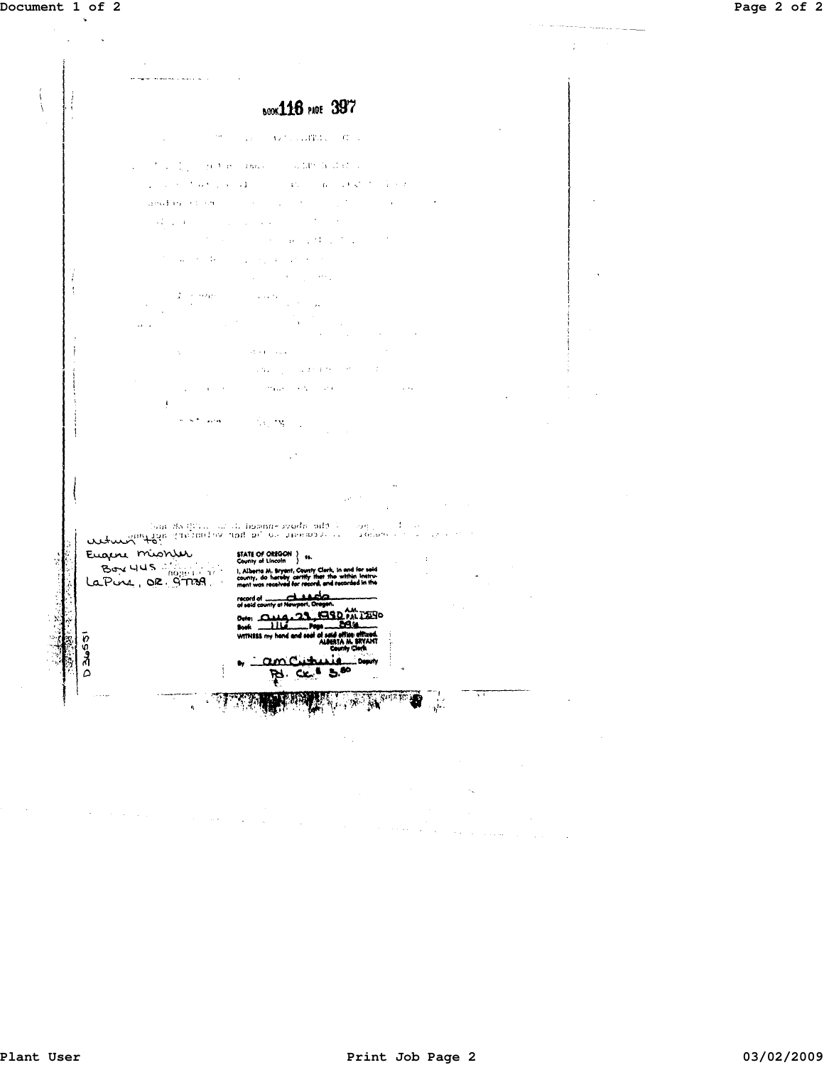

 $\mathcal{F}^{\mathcal{G}}$  , and  $\mathcal{F}^{\mathcal{G}}$  , and  $\mathcal{F}^{\mathcal{G}}$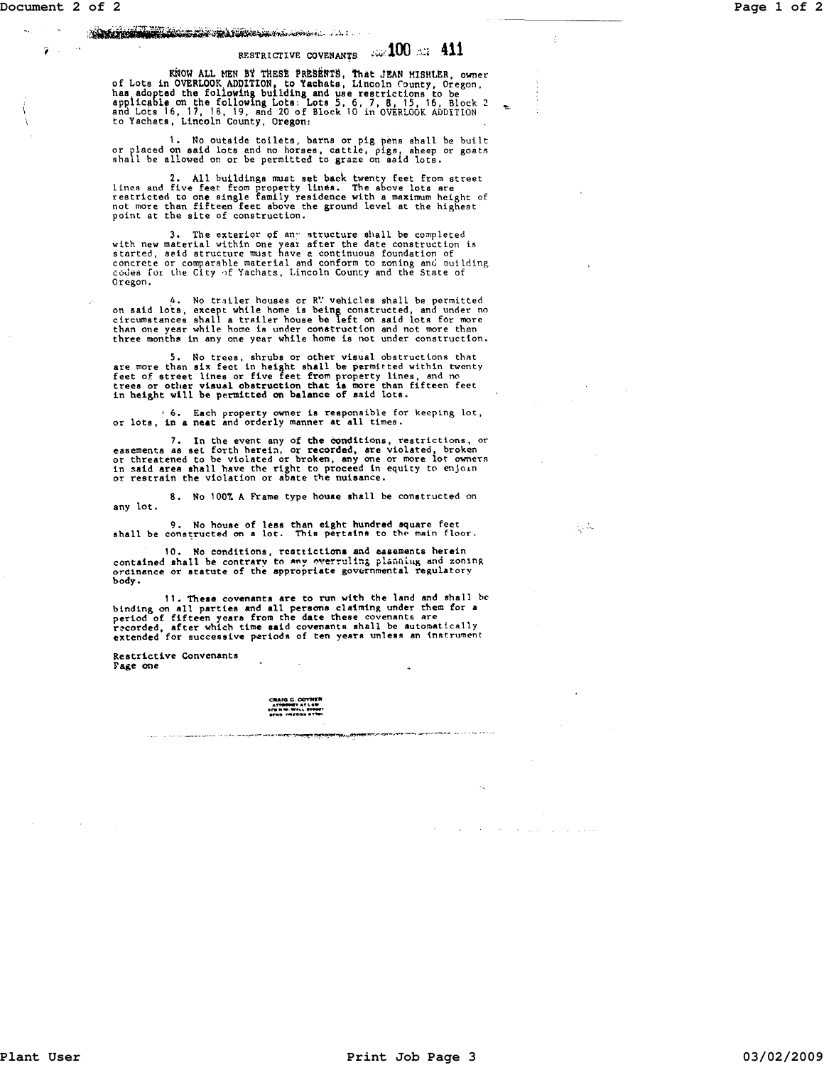$\sim$ 

ã

### ;~~~~~~~~~\;..,;.~!;.,;,

# RESTRICTIVE COVENANTS AND THE 411

KNOW ALL MEN BY THESE PRESENTS, That JEAN MISHLER, owner<br>of Lots in OVERLOOK ADDITION, to Yachats, Lincoln County, Oregon,<br>has adopted the following building and use restrictions to be<br>applicable on the following Lots: Lot

1. No outside toilets, barns or pig pens shall be built or placed on said lots and no horses, cattle, pigs, sheep or goats shall be allowed on or be permitted to graze on said lots.

2. All buildings must set back twenty feet from street<br>lines and five feet from property lines. The above lots are<br>restricted to one single family residence with a maximum height of<br>not more than fifteen feet above the gro

3. The exterior of any structure shall be completed<br>started, said structure must have a contract of the started, said struction is<br>concrete or comparable material and conform to zoning and ouilding<br>codes for the City of Ya Oregon.

4. No trailer houses or R'' vehicles shall be permitted<br>or said lots, except while home is being constructed, and under no<br>circumstances shall a trailer house be left on said lots for more<br>than one year while home is under

5. No trees, shrubs or other visual obstructions that<br>free more than six fect in height shall be permitted within twenty<br>free of street lines or five feet from property lines, and no<br>trees or other visual obstruction that

<sup>j</sup>6. Each property owner is responsible for keeping lot, or lots, in a neat and orderly manner at all times.

7. In the event any of the conditions, restrictions, or easements as set forth herein, or recorded, are violated, broken or threatened to be violated or broken, any one or more lot owners in said area shall have the right

8. No 100% A Frame type house shall be constructed on any lot.

9. No house of less than eight hundred square feet<br>shall be constructed on a lot. This pertains to the main floor.

10. No conditions, restrictions and easements herein<br>contained shall be contrary to any overruling planning and zoning<br>ordinance or statute of the appropriate governmental regulatory body.

11. These covenants are to run with the land and shall be binding on all parties and all persons claiming under them for a period of fifteen years from the date these covenants are perfound of firecan yours from and covenants ahall be automatically extended, after which time said covenants ahall be automatically

Restrictive Convenanta Fage one

> CRAIG C. COYNER . ,.." .. ~ .............. .. ''" \_, .. ....... "".to ... 9'"

 $\zeta^{\lambda}$